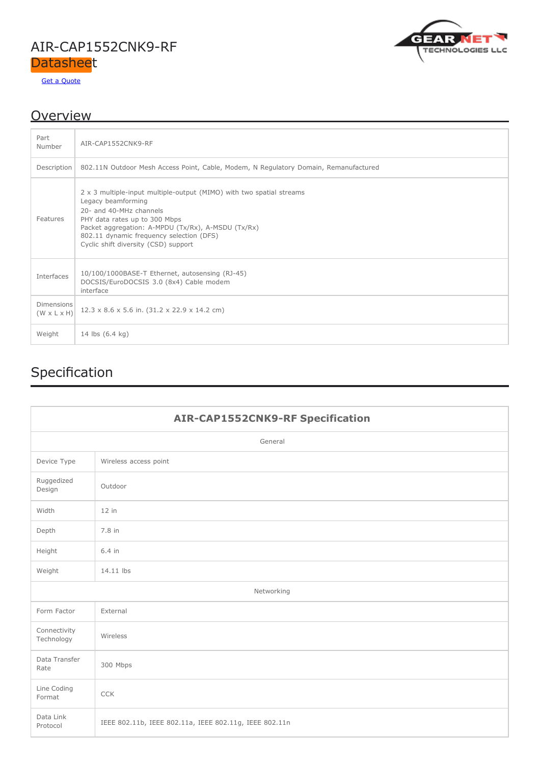### AIR-CAP1552CNK9-RF **Datasheet**

Get a [Quote](https://gntme.com/air-cap1552cnk9-rf/)



### **Overview**

| Part<br>Number                               | AIR-CAP1552CNK9-RF                                                                                                                                                                                                                                                                               |
|----------------------------------------------|--------------------------------------------------------------------------------------------------------------------------------------------------------------------------------------------------------------------------------------------------------------------------------------------------|
| Description                                  | 802.11N Outdoor Mesh Access Point, Cable, Modem, N Regulatory Domain, Remanufactured                                                                                                                                                                                                             |
| Features                                     | 2 x 3 multiple-input multiple-output (MIMO) with two spatial streams<br>Legacy beamforming<br>20- and 40-MHz channels<br>PHY data rates up to 300 Mbps<br>Packet aggregation: A-MPDU (Tx/Rx), A-MSDU (Tx/Rx)<br>802.11 dynamic frequency selection (DFS)<br>Cyclic shift diversity (CSD) support |
| Interfaces                                   | 10/100/1000BASE-T Ethernet, autosensing (RJ-45)<br>DOCSIS/EuroDOCSIS 3.0 (8x4) Cable modem<br>interface                                                                                                                                                                                          |
| <b>Dimensions</b><br>$(W \times L \times H)$ | 12.3 x 8.6 x 5.6 in. (31.2 x 22.9 x 14.2 cm)                                                                                                                                                                                                                                                     |
| Weight                                       | 14 lbs (6.4 kg)                                                                                                                                                                                                                                                                                  |

# Specification

| <b>AIR-CAP1552CNK9-RF Specification</b> |                                                        |  |  |  |  |
|-----------------------------------------|--------------------------------------------------------|--|--|--|--|
| General                                 |                                                        |  |  |  |  |
| Device Type                             | Wireless access point                                  |  |  |  |  |
| Ruggedized<br>Design                    | Outdoor                                                |  |  |  |  |
| Width                                   | $12$ in                                                |  |  |  |  |
| Depth                                   | 7.8 in                                                 |  |  |  |  |
| Height                                  | 6.4 in                                                 |  |  |  |  |
| Weight                                  | 14.11 lbs                                              |  |  |  |  |
| Networking                              |                                                        |  |  |  |  |
| Form Factor                             | External                                               |  |  |  |  |
| Connectivity<br>Technology              | Wireless                                               |  |  |  |  |
| Data Transfer<br>Rate                   | 300 Mbps                                               |  |  |  |  |
| Line Coding<br>Format                   | <b>CCK</b>                                             |  |  |  |  |
| Data Link<br>Protocol                   | IEEE 802.11b, IEEE 802.11a, IEEE 802.11g, IEEE 802.11n |  |  |  |  |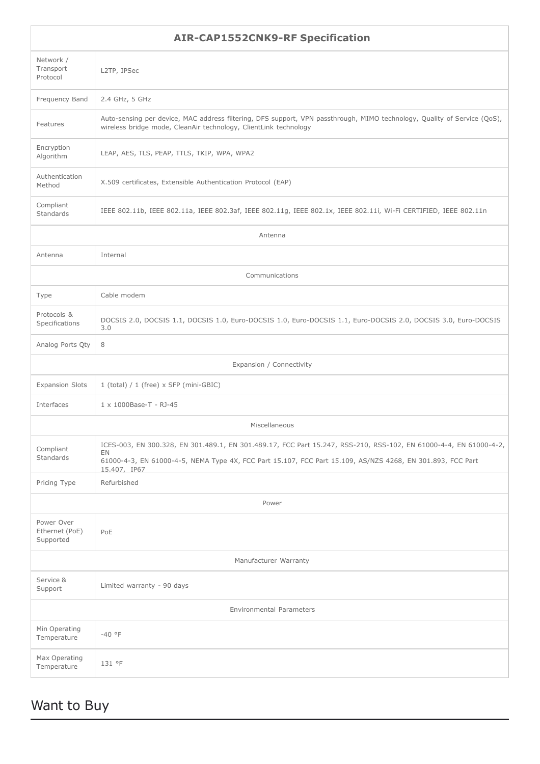| <b>AIR-CAP1552CNK9-RF Specification</b>   |                                                                                                                                                                                                                                                       |  |  |  |  |
|-------------------------------------------|-------------------------------------------------------------------------------------------------------------------------------------------------------------------------------------------------------------------------------------------------------|--|--|--|--|
| Network /<br>Transport<br>Protocol        | L2TP, IPSec                                                                                                                                                                                                                                           |  |  |  |  |
| Frequency Band                            | 2.4 GHz, 5 GHz                                                                                                                                                                                                                                        |  |  |  |  |
| Features                                  | Auto-sensing per device, MAC address filtering, DFS support, VPN passthrough, MIMO technology, Quality of Service (QoS),<br>wireless bridge mode, CleanAir technology, ClientLink technology                                                          |  |  |  |  |
| Encryption<br>Algorithm                   | LEAP, AES, TLS, PEAP, TTLS, TKIP, WPA, WPA2                                                                                                                                                                                                           |  |  |  |  |
| Authentication<br>Method                  | X.509 certificates, Extensible Authentication Protocol (EAP)                                                                                                                                                                                          |  |  |  |  |
| Compliant<br>Standards                    | IEEE 802.11b, IEEE 802.11a, IEEE 802.3af, IEEE 802.11g, IEEE 802.1x, IEEE 802.11i, Wi-Fi CERTIFIED, IEEE 802.11n                                                                                                                                      |  |  |  |  |
| Antenna                                   |                                                                                                                                                                                                                                                       |  |  |  |  |
| Antenna                                   | Internal                                                                                                                                                                                                                                              |  |  |  |  |
|                                           | Communications                                                                                                                                                                                                                                        |  |  |  |  |
| Type                                      | Cable modem                                                                                                                                                                                                                                           |  |  |  |  |
| Protocols &<br>Specifications             | DOCSIS 2.0, DOCSIS 1.1, DOCSIS 1.0, Euro-DOCSIS 1.0, Euro-DOCSIS 1.1, Euro-DOCSIS 2.0, DOCSIS 3.0, Euro-DOCSIS<br>3.0                                                                                                                                 |  |  |  |  |
| Analog Ports Qty                          | 8                                                                                                                                                                                                                                                     |  |  |  |  |
| Expansion / Connectivity                  |                                                                                                                                                                                                                                                       |  |  |  |  |
| <b>Expansion Slots</b>                    | $1$ (total) / $1$ (free) $\times$ SFP (mini-GBIC)                                                                                                                                                                                                     |  |  |  |  |
| Interfaces                                | 1 x 1000Base-T - RJ-45                                                                                                                                                                                                                                |  |  |  |  |
| Miscellaneous                             |                                                                                                                                                                                                                                                       |  |  |  |  |
| Compliant<br>Standards                    | ICES-003, EN 300.328, EN 301.489.1, EN 301.489.17, FCC Part 15.247, RSS-210, RSS-102, EN 61000-4-4, EN 61000-4-2,<br>EN<br>61000-4-3, EN 61000-4-5, NEMA Type 4X, FCC Part 15.107, FCC Part 15.109, AS/NZS 4268, EN 301.893, FCC Part<br>15.407, IP67 |  |  |  |  |
| Pricing Type                              | Refurbished                                                                                                                                                                                                                                           |  |  |  |  |
| Power                                     |                                                                                                                                                                                                                                                       |  |  |  |  |
| Power Over<br>Ethernet (PoE)<br>Supported | PoE                                                                                                                                                                                                                                                   |  |  |  |  |
| Manufacturer Warranty                     |                                                                                                                                                                                                                                                       |  |  |  |  |
| Service &<br>Support                      | Limited warranty - 90 days                                                                                                                                                                                                                            |  |  |  |  |
| Environmental Parameters                  |                                                                                                                                                                                                                                                       |  |  |  |  |
| Min Operating<br>Temperature              | $-40 °F$                                                                                                                                                                                                                                              |  |  |  |  |
| Max Operating<br>Temperature              | 131 °F                                                                                                                                                                                                                                                |  |  |  |  |

## Want to Buy